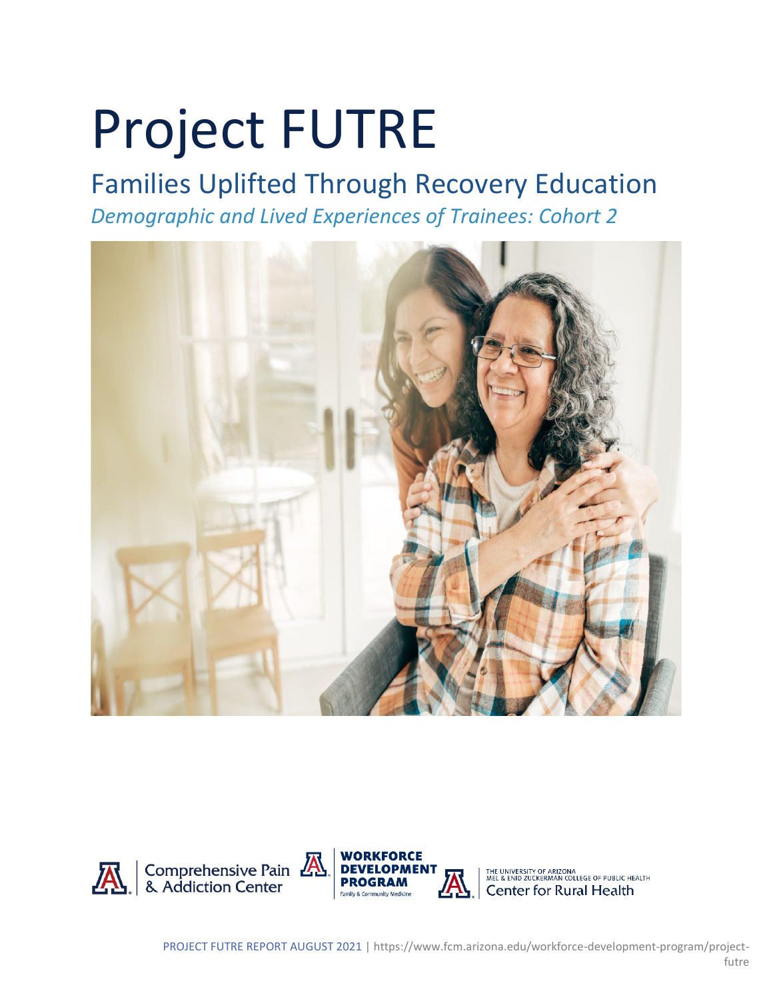# Project FUTRE

# Families Uplifted Through Recovery Education *Demographic and Lived Experiences of Trainees: Cohort 2*





PROJECT FUTRE REPORT AUGUST 2021 | https://www.fcm.arizona.edu/workforce-development-program/projectfutre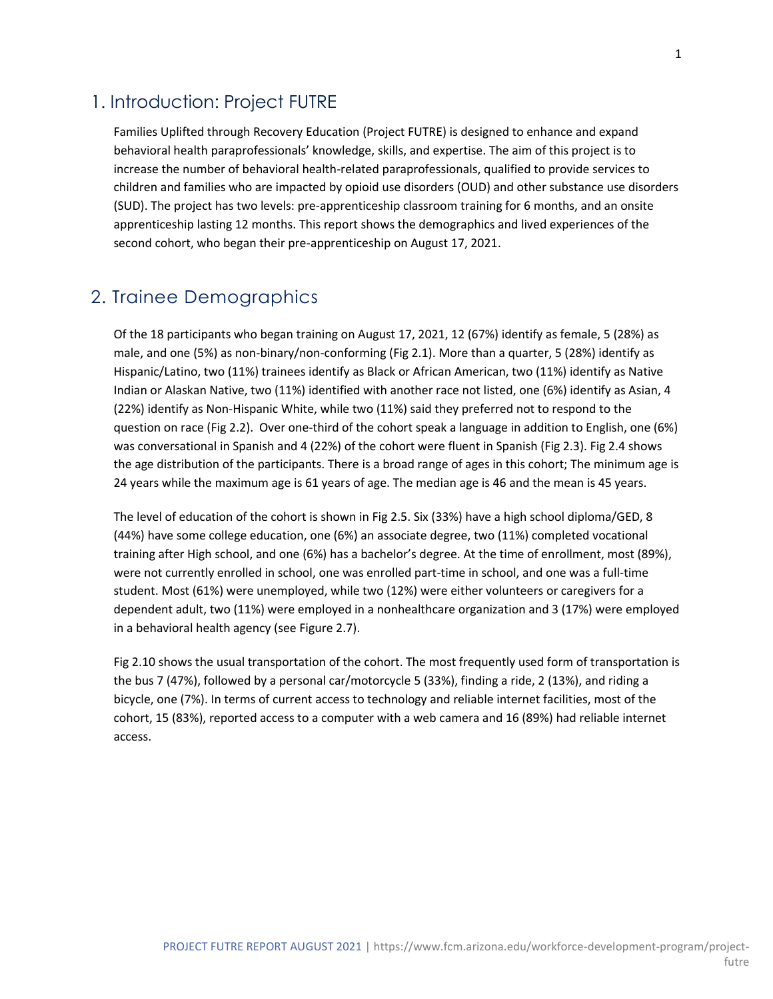### 1. Introduction: Project FUTRE

Families Uplifted through Recovery Education (Project FUTRE) is designed to enhance and expand behavioral health paraprofessionals' knowledge, skills, and expertise. The aim of this project is to increase the number of behavioral health-related paraprofessionals, qualified to provide services to children and families who are impacted by opioid use disorders (OUD) and other substance use disorders (SUD). The project has two levels: pre-apprenticeship classroom training for 6 months, and an onsite apprenticeship lasting 12 months. This report shows the demographics and lived experiences of the second cohort, who began their pre-apprenticeship on August 17, 2021.

## 2. Trainee Demographics

Of the 18 participants who began training on August 17, 2021, 12 (67%) identify as female, 5 (28%) as male, and one (5%) as non-binary/non-conforming (Fig 2.1). More than a quarter, 5 (28%) identify as Hispanic/Latino, two (11%) trainees identify as Black or African American, two (11%) identify as Native Indian or Alaskan Native, two (11%) identified with another race not listed, one (6%) identify as Asian, 4 (22%) identify as Non-Hispanic White, while two (11%) said they preferred not to respond to the question on race (Fig 2.2). Over one-third of the cohort speak a language in addition to English, one (6%) was conversational in Spanish and 4 (22%) of the cohort were fluent in Spanish (Fig 2.3). Fig 2.4 shows the age distribution of the participants. There is a broad range of ages in this cohort; The minimum age is 24 years while the maximum age is 61 years of age. The median age is 46 and the mean is 45 years.

The level of education of the cohort is shown in Fig 2.5. Six (33%) have a high school diploma/GED, 8 (44%) have some college education, one (6%) an associate degree, two (11%) completed vocational training after High school, and one (6%) has a bachelor's degree. At the time of enrollment, most (89%), were not currently enrolled in school, one was enrolled part-time in school, and one was a full-time student. Most (61%) were unemployed, while two (12%) were either volunteers or caregivers for a dependent adult, two (11%) were employed in a nonhealthcare organization and 3 (17%) were employed in a behavioral health agency (see Figure 2.7).

Fig 2.10 shows the usual transportation of the cohort. The most frequently used form of transportation is the bus 7 (47%), followed by a personal car/motorcycle 5 (33%), finding a ride, 2 (13%), and riding a bicycle, one (7%). In terms of current access to technology and reliable internet facilities, most of the cohort, 15 (83%), reported access to a computer with a web camera and 16 (89%) had reliable internet access.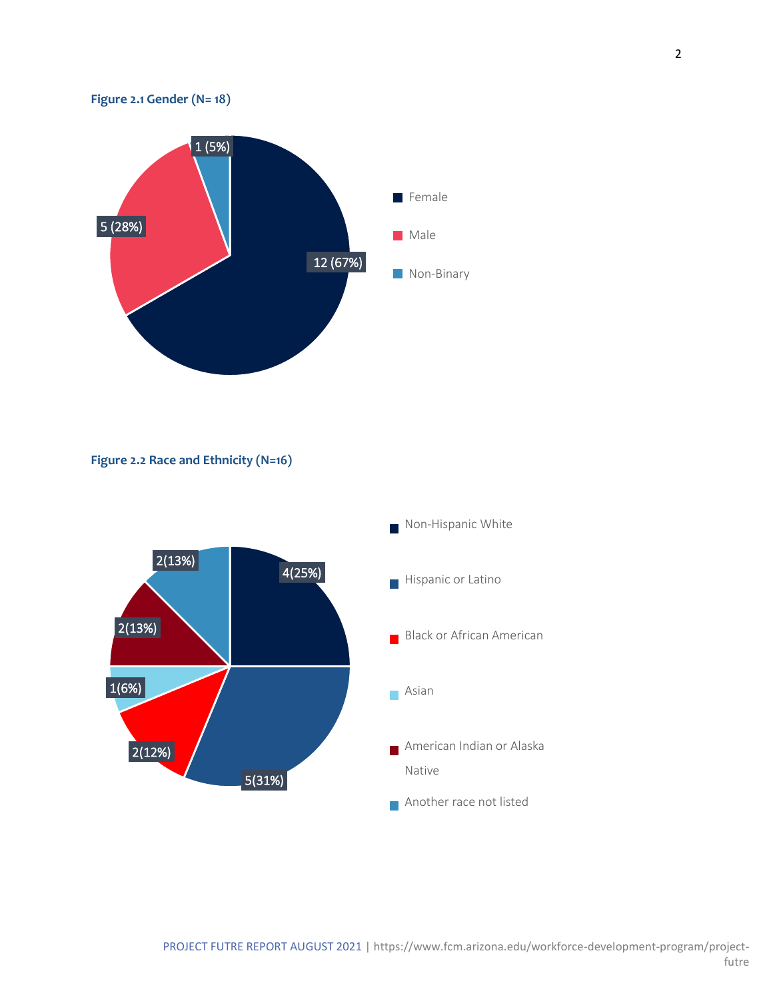

#### **Figure 2.2 Race and Ethnicity (N=16)**

**Figure 2.1 Gender (N= 18)**

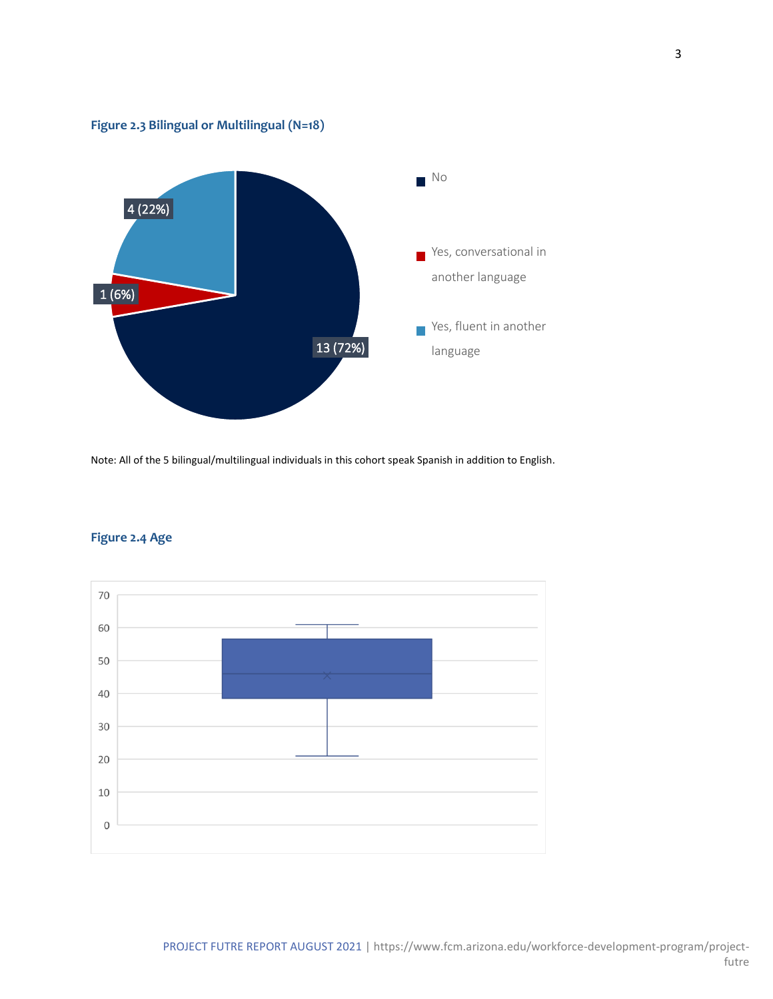

**Figure 2.3 Bilingual or Multilingual (N=18)**

Note: All of the 5 bilingual/multilingual individuals in this cohort speak Spanish in addition to English.



**Figure 2.4 Age**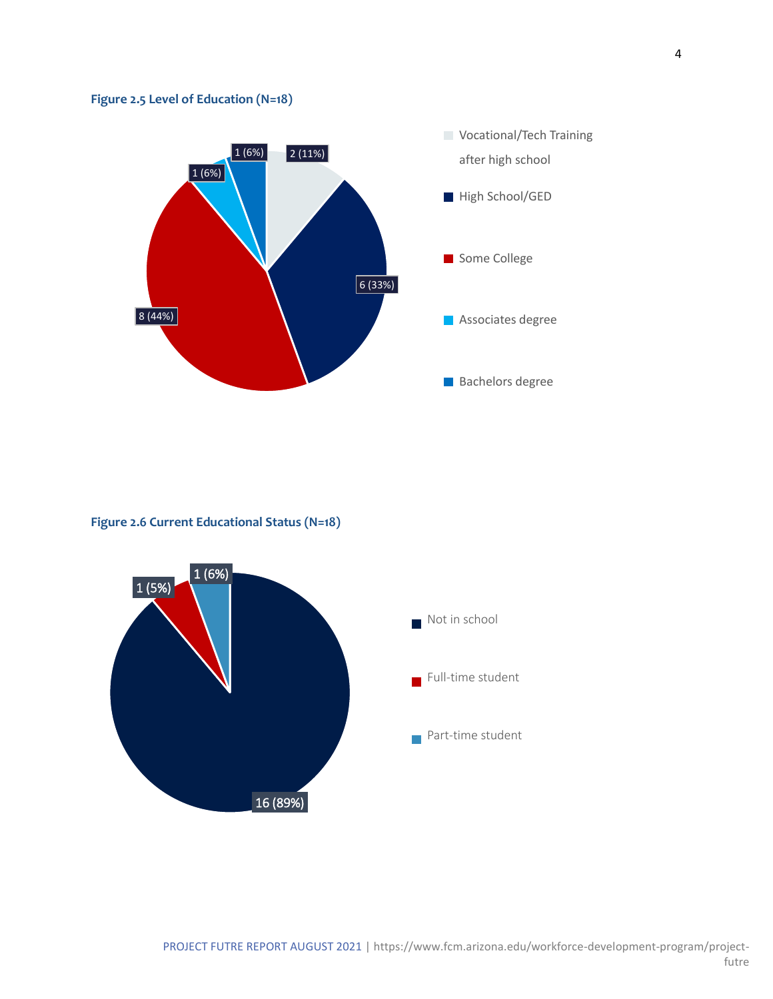#### **Figure 2.5 Level of Education (N=18)**



**Figure 2.6 Current Educational Status (N=18)**

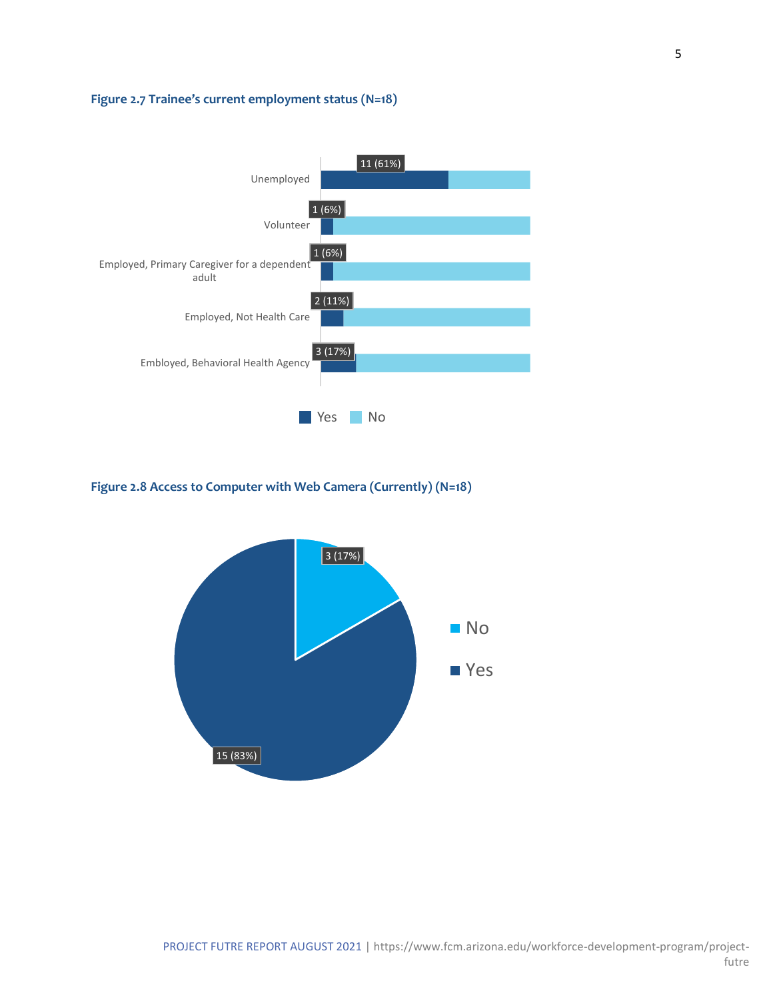#### **Figure 2.7 Trainee's current employment status (N=18)**



**Figure 2.8 Access to Computer with Web Camera (Currently) (N=18)**

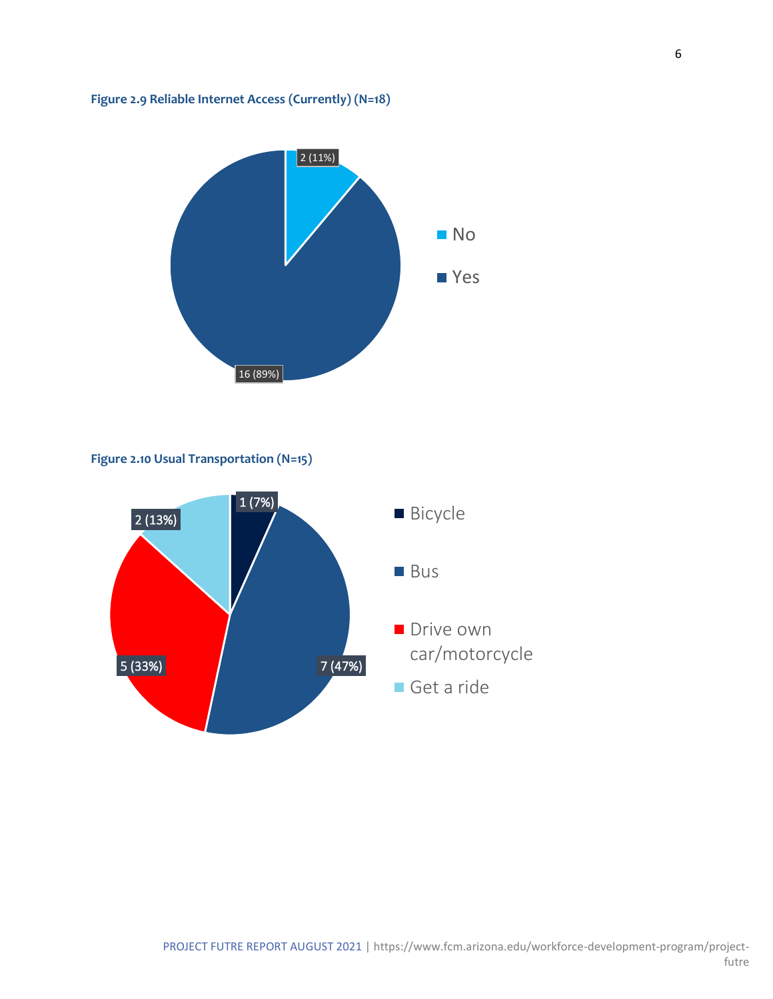**Figure 2.9 Reliable Internet Access (Currently) (N=18)**



**Figure 2.10 Usual Transportation (N=15)**

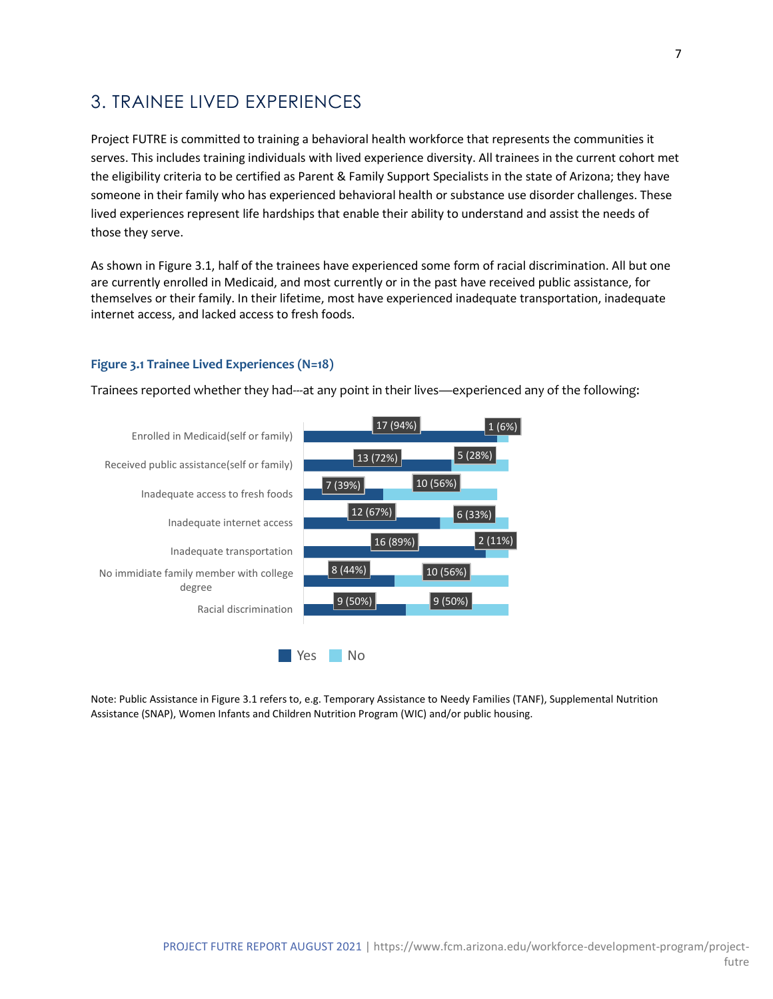# 3. TRAINEE LIVED EXPERIENCES

Project FUTRE is committed to training a behavioral health workforce that represents the communities it serves. This includes training individuals with lived experience diversity. All trainees in the current cohort met the eligibility criteria to be certified as Parent & Family Support Specialists in the state of Arizona; they have someone in their family who has experienced behavioral health or substance use disorder challenges. These lived experiences represent life hardships that enable their ability to understand and assist the needs of those they serve.

As shown in Figure 3.1, half of the trainees have experienced some form of racial discrimination. All but one are currently enrolled in Medicaid, and most currently or in the past have received public assistance, for themselves or their family. In their lifetime, most have experienced inadequate transportation, inadequate internet access, and lacked access to fresh foods.

#### **Figure 3.1 Trainee Lived Experiences (N=18)**

Trainees reported whether they had---at any point in their lives—experienced any of the following:



Note: Public Assistance in Figure 3.1 refers to, e.g. Temporary Assistance to Needy Families (TANF), Supplemental Nutrition Assistance (SNAP), Women Infants and Children Nutrition Program (WIC) and/or public housing.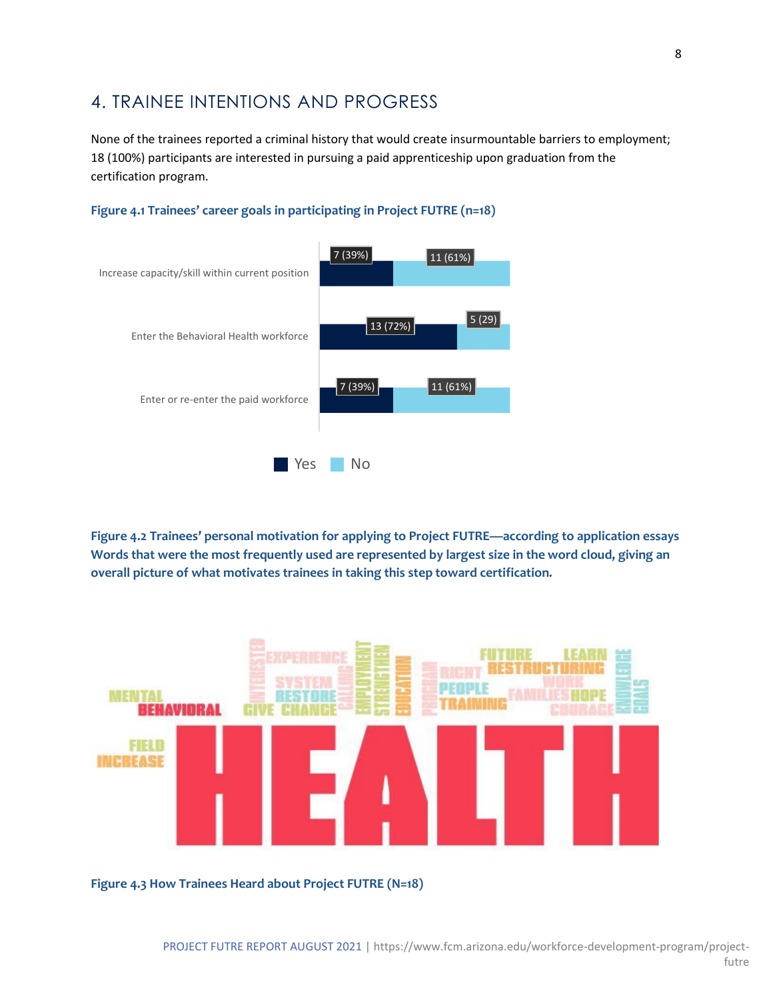# 4. TRAINEE INTENTIONS AND PROGRESS

None of the trainees reported a criminal history that would create insurmountable barriers to employment; 18 (100%) participants are interested in pursuing a paid apprenticeship upon graduation from the certification program.





**Figure 4.2 Trainees' personal motivation for applying to Project FUTRE—according to application essays Words that were the most frequently used are represented by largest size in the word cloud, giving an overall picture of what motivates trainees in taking this step toward certification.** 



**Figure 4.3 How Trainees Heard about Project FUTRE (N=18)**